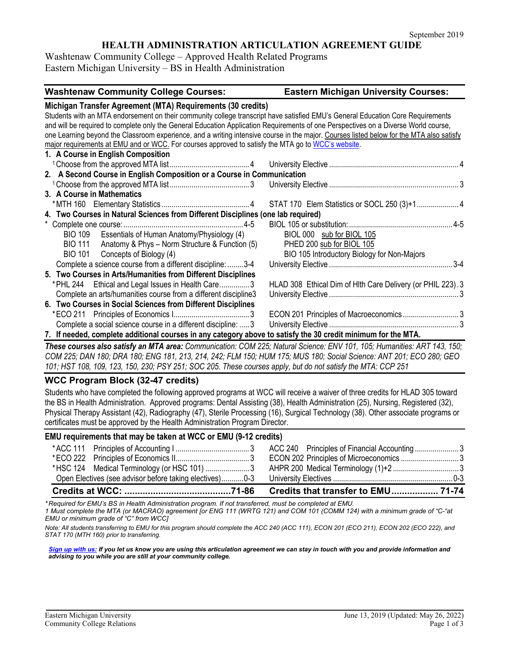# **HEALTH ADMINISTRATION ARTICULATION AGREEMENT GUIDE**

Washtenaw Community College – Approved Health Related Programs Eastern Michigan University – BS in Health Administration

| <b>Washtenaw Community College Courses:</b>                                                                                              | <b>Eastern Michigan University Courses:</b>                 |
|------------------------------------------------------------------------------------------------------------------------------------------|-------------------------------------------------------------|
| Michigan Transfer Agreement (MTA) Requirements (30 credits)                                                                              |                                                             |
| Students with an MTA endorsement on their community college transcript have satisfied EMU's General Education Core Requirements          |                                                             |
| and will be required to complete only the General Education Application Requirements of one Perspectives on a Diverse World course,      |                                                             |
| one Learning beyond the Classroom experience, and a writing intensive course in the major. Courses listed below for the MTA also satisfy |                                                             |
| major requirements at EMU and or WCC. For courses approved to satisfy the MTA go to WCC's website.                                       |                                                             |
| 1. A Course in English Composition                                                                                                       |                                                             |
|                                                                                                                                          |                                                             |
| 2. A Second Course in English Composition or a Course in Communication                                                                   |                                                             |
|                                                                                                                                          |                                                             |
| 3. A Course in Mathematics                                                                                                               |                                                             |
|                                                                                                                                          |                                                             |
| 4. Two Courses in Natural Sciences from Different Disciplines (one lab required)                                                         |                                                             |
|                                                                                                                                          |                                                             |
| BIO 109 Essentials of Human Anatomy/Physiology (4)                                                                                       | BIOL 000 sub for BIOL 105                                   |
| BIO 111 Anatomy & Phys - Norm Structure & Function (5)                                                                                   | PHED 200 sub for BIOL 105                                   |
| BIO 101 Concepts of Biology (4)                                                                                                          | BIO 105 Introductory Biology for Non-Majors                 |
| Complete a science course from a different discipline: 3-4                                                                               |                                                             |
| 5. Two Courses in Arts/Humanities from Different Disciplines                                                                             |                                                             |
| * PHL 244 Ethical and Legal Issues in Health Care3                                                                                       | HLAD 308 Ethical Dim of HIth Care Delivery (or PHIL 223). 3 |
| Complete an arts/humanities course from a different discipline3                                                                          |                                                             |
| 6. Two Courses in Social Sciences from Different Disciplines                                                                             |                                                             |
|                                                                                                                                          | ECON 201 Principles of Macroeconomics3                      |
| Complete a social science course in a different discipline:  3                                                                           |                                                             |
| 7. If needed, complete additional courses in any category above to satisfy the 30 credit minimum for the MTA.                            |                                                             |

*These courses also satisfy an MTA area: Communication: COM 225; Natural Science: ENV 101, 105; Humanities: ART 143, 150; COM 225; DAN 180; DRA 180; ENG 181, 213, 214, 242; FLM 150; HUM 175; MUS 180; Social Science: ANT 201; ECO 280; GEO 101; HST 108, 109, 123, 150, 230; PSY 251; SOC 205. These courses apply, but do not satisfy the MTA: CCP 251*

## **WCC Program Block (32-47 credits)**

Students who have completed the following approved programs at WCC will receive a waiver of three credits for HLAD 305 toward the BS in Health Administration. Approved programs: Dental Assisting (38), Health Administration (25), Nursing, Registered (32), Physical Therapy Assistant (42), Radiography (47), Sterile Processing (16), Surgical Technology (38). Other associate programs or certificates must be approved by the Health Administration Program Director.

#### **EMU requirements that may be taken at WCC or EMU (9-12 credits)**

|                                             | Credits that transfer to EMU 71-74      |  |
|---------------------------------------------|-----------------------------------------|--|
|                                             |                                         |  |
| *HSC 124 Medical Terminology (or HSC 101) 3 |                                         |  |
|                                             | ECON 202 Principles of Microeconomics 3 |  |
|                                             |                                         |  |
|                                             |                                         |  |

*\* Required for EMU's BS in Health Administration program. If not transferred, must be completed at EMU.* 

*1 Must complete the MTA (or MACRAO) agreement [or ENG 111 (WRTG 121) and COM 101 (COMM 124) with a minimum grade of "C-"at EMU or minimum grade of "C" from WCC]*

*Note: All students transferring to EMU for this program should complete the ACC 240 (ACC 111), ECON 201 (ECO 211), ECON 202 (ECO 222), and STAT 170 (MTH 160) prior to transferring.* 

*[Sign up with us:](https://www.emich.edu/ccr/articulation-agreements/signup.php) If you let us know you are using this articulation agreement we can stay in touch with you and provide information and advising to you while you are still at your community college.*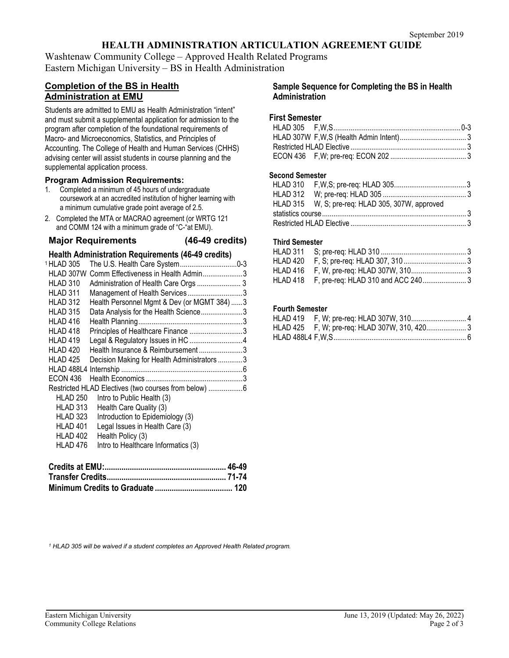# **HEALTH ADMINISTRATION ARTICULATION AGREEMENT GUIDE**

Washtenaw Community College – Approved Health Related Programs Eastern Michigan University – BS in Health Administration

# **Completion of the BS in Health Administration at EMU**

Students are admitted to EMU as Health Administration "intent" and must submit a supplemental application for admission to the program after completion of the foundational requirements of Macro- and Microeconomics, Statistics, and Principles of Accounting. The College of Health and Human Services (CHHS) advising center will assist students in course planning and the supplemental application process.

#### **Program Admission Requirements:**

- 1. Completed a minimum of 45 hours of undergraduate coursework at an accredited institution of higher learning with a minimum cumulative grade point average of 2.5.
- 2. Completed the MTA or MACRAO agreement (or WRTG 121 and COMM 124 with a minimum grade of "C-"at EMU).

# **Major Requirements (46-49 credits)**

## **Health Administration Requirements (46-49 credits)**

| 1 HLAD 305      | The U.S. Health Care System0-3                        |  |
|-----------------|-------------------------------------------------------|--|
| HLAD 307W       | Comm Effectiveness in Health Admin3                   |  |
| HLAD 310        | Administration of Health Care Orgs  3                 |  |
| HLAD 311        | Management of Health Services3                        |  |
| HLAD 312        | Health Personnel Mgmt & Dev (or MGMT 384) 3           |  |
| HLAD 315        | Data Analysis for the Health Science3                 |  |
| HLAD 416        |                                                       |  |
| HLAD 418        | Principles of Healthcare Finance 3                    |  |
| HLAD 419        | Legal & Regulatory Issues in HC 4                     |  |
| HLAD 420        | Health Insurance & Reimbursement3                     |  |
| HLAD 425        | Decision Making for Health Administrators 3           |  |
| HLAD 488L4      |                                                       |  |
| <b>ECON 436</b> |                                                       |  |
|                 | Restricted HLAD Electives (two courses from below)  6 |  |
| <b>HLAD 250</b> | Intro to Public Health (3)                            |  |
| HLAD 313        | Health Care Quality (3)                               |  |
| HLAD 323        | Introduction to Epidemiology (3)                      |  |
| HLAD 401        | Legal Issues in Health Care (3)                       |  |
| HLAD 402        | Health Policy (3)                                     |  |
| HLAD 476        | Intro to Healthcare Informatics (3)                   |  |
|                 |                                                       |  |

#### **Sample Sequence for Completing the BS in Health Administration**

#### **First Semester**

#### **Second Semester**

| HLAD 315 W, S; pre-req: HLAD 305, 307W, approved |  |
|--------------------------------------------------|--|
|                                                  |  |
|                                                  |  |

#### **Third Semester**

## **Fourth Semester**

*<sup>1</sup> HLAD 305 will be waived if a student completes an Approved Health Related program.*